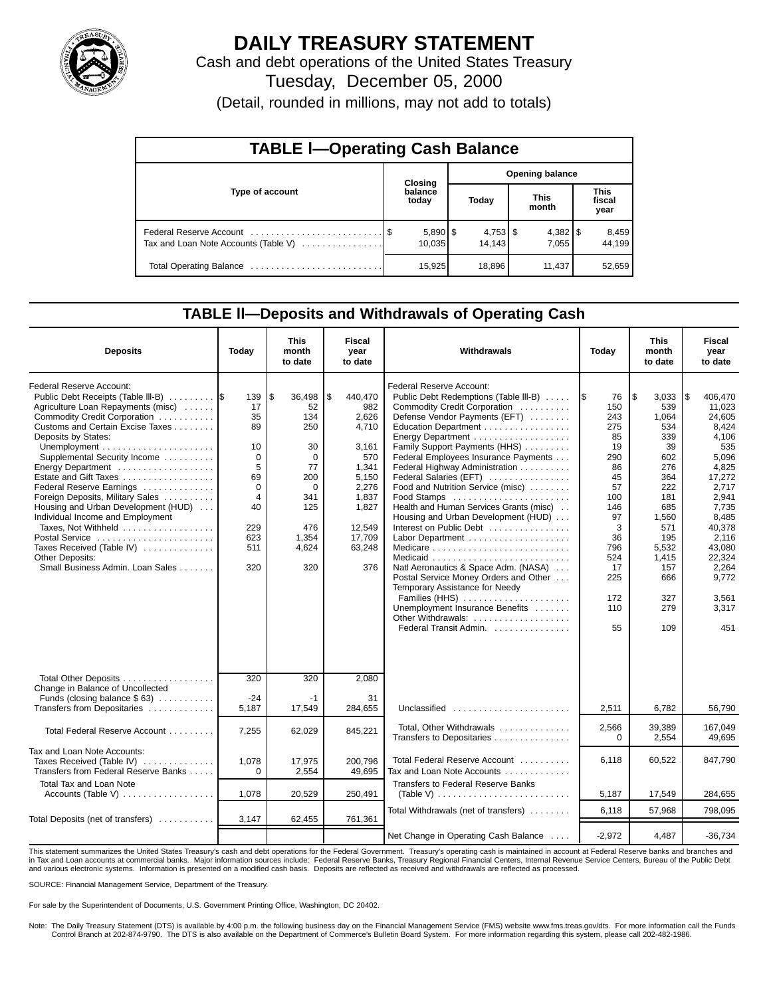

# **DAILY TREASURY STATEMENT**

Cash and debt operations of the United States Treasury Tuesday, December 05, 2000

(Detail, rounded in millions, may not add to totals)

| <b>TABLE I-Operating Cash Balance</b> |  |                      |                        |        |  |                       |  |                               |  |  |  |  |
|---------------------------------------|--|----------------------|------------------------|--------|--|-----------------------|--|-------------------------------|--|--|--|--|
|                                       |  | <b>Closing</b>       | <b>Opening balance</b> |        |  |                       |  |                               |  |  |  |  |
| Type of account                       |  | balance<br>today     |                        | Today  |  | <b>This</b><br>month  |  | <b>This</b><br>fiscal<br>year |  |  |  |  |
| Tax and Loan Note Accounts (Table V)  |  | $5,890$ \$<br>10.035 |                        | 14.143 |  | $4,382$   \$<br>7.055 |  | 8,459<br>44.199               |  |  |  |  |
|                                       |  | 15,925               |                        | 18,896 |  | 11,437                |  | 52,659                        |  |  |  |  |

### **TABLE ll—Deposits and Withdrawals of Operating Cash**

| <b>Deposits</b>                                                                                                                                                                                                                                                                                                                                                                                                                                                                                                                         | Today                                                                                                       | <b>This</b><br>month<br>to date                                                                                        | Fiscal<br>year<br>to date                                                                                                                | Withdrawals                                                                                                                                                                                                                                                                                                                                                                                                                                                                                                                                                                                                                                                                              | Today                                                                                                                                      | <b>This</b><br>month<br>to date                                                                                                                                       | Fiscal<br>year<br>to date                                                                                                                                                                                     |
|-----------------------------------------------------------------------------------------------------------------------------------------------------------------------------------------------------------------------------------------------------------------------------------------------------------------------------------------------------------------------------------------------------------------------------------------------------------------------------------------------------------------------------------------|-------------------------------------------------------------------------------------------------------------|------------------------------------------------------------------------------------------------------------------------|------------------------------------------------------------------------------------------------------------------------------------------|------------------------------------------------------------------------------------------------------------------------------------------------------------------------------------------------------------------------------------------------------------------------------------------------------------------------------------------------------------------------------------------------------------------------------------------------------------------------------------------------------------------------------------------------------------------------------------------------------------------------------------------------------------------------------------------|--------------------------------------------------------------------------------------------------------------------------------------------|-----------------------------------------------------------------------------------------------------------------------------------------------------------------------|---------------------------------------------------------------------------------------------------------------------------------------------------------------------------------------------------------------|
| Federal Reserve Account:<br>Public Debt Receipts (Table III-B)<br>Agriculture Loan Repayments (misc)<br>Commodity Credit Corporation<br>Customs and Certain Excise Taxes<br>Deposits by States:<br>Supplemental Security Income<br>Estate and Gift Taxes<br>Federal Reserve Earnings<br>Foreign Deposits, Military Sales<br>Housing and Urban Development (HUD)<br>Individual Income and Employment<br>Taxes, Not Withheld<br>Postal Service<br>Taxes Received (Table IV)<br><b>Other Deposits:</b><br>Small Business Admin. Loan Sales | 139<br>17<br>35<br>89<br>10<br>$\mathbf 0$<br>5<br>69<br>$\mathbf 0$<br>4<br>40<br>229<br>623<br>511<br>320 | 36,498<br>۱\$<br>52<br>134<br>250<br>30<br>$\mathbf 0$<br>77<br>200<br>0<br>341<br>125<br>476<br>1,354<br>4,624<br>320 | \$<br>440,470<br>982<br>2,626<br>4,710<br>3,161<br>570<br>1,341<br>5,150<br>2,276<br>1,837<br>1,827<br>12,549<br>17,709<br>63,248<br>376 | Federal Reserve Account:<br>Public Debt Redemptions (Table III-B)<br>Commodity Credit Corporation<br>Defense Vendor Payments (EFT)<br>Education Department<br>Family Support Payments (HHS)<br>Federal Employees Insurance Payments<br>Federal Highway Administration<br>Federal Salaries (EFT)<br>Food and Nutrition Service (misc)<br>Food Stamps<br>Health and Human Services Grants (misc)<br>Housing and Urban Development (HUD)<br>Interest on Public Debt<br>Natl Aeronautics & Space Adm. (NASA)<br>Postal Service Money Orders and Other<br>Temporary Assistance for Needy<br>Families (HHS)<br>Unemployment Insurance Benefits<br>Other Withdrawals:<br>Federal Transit Admin. | 76<br>150<br>243<br>275<br>85<br>19<br>290<br>86<br>45<br>57<br>100<br>146<br>97<br>3<br>36<br>796<br>524<br>17<br>225<br>172<br>110<br>55 | \$<br>3,033<br>539<br>1,064<br>534<br>339<br>39<br>602<br>276<br>364<br>222<br>181<br>685<br>1,560<br>571<br>195<br>5,532<br>1,415<br>157<br>666<br>327<br>279<br>109 | ۱\$<br>406,470<br>11,023<br>24,605<br>8,424<br>4,106<br>535<br>5,096<br>4,825<br>17,272<br>2.717<br>2,941<br>7,735<br>8,485<br>40,378<br>2,116<br>43,080<br>22,324<br>2,264<br>9,772<br>3,561<br>3,317<br>451 |
| Total Other Deposits<br>Change in Balance of Uncollected<br>Funds (closing balance \$63)                                                                                                                                                                                                                                                                                                                                                                                                                                                | 320<br>$-24$                                                                                                | 320<br>-1                                                                                                              | 2,080<br>31                                                                                                                              |                                                                                                                                                                                                                                                                                                                                                                                                                                                                                                                                                                                                                                                                                          |                                                                                                                                            |                                                                                                                                                                       |                                                                                                                                                                                                               |
| Transfers from Depositaries                                                                                                                                                                                                                                                                                                                                                                                                                                                                                                             | 5,187                                                                                                       | 17,549                                                                                                                 | 284,655                                                                                                                                  | Unclassified                                                                                                                                                                                                                                                                                                                                                                                                                                                                                                                                                                                                                                                                             | 2,511                                                                                                                                      | 6,782                                                                                                                                                                 | 56,790                                                                                                                                                                                                        |
| Total Federal Reserve Account                                                                                                                                                                                                                                                                                                                                                                                                                                                                                                           | 7,255                                                                                                       | 62,029                                                                                                                 | 845,221                                                                                                                                  | Total, Other Withdrawals<br>Transfers to Depositaries                                                                                                                                                                                                                                                                                                                                                                                                                                                                                                                                                                                                                                    | 2,566<br>$\Omega$                                                                                                                          | 39.389<br>2,554                                                                                                                                                       | 167,049<br>49,695                                                                                                                                                                                             |
| Tax and Loan Note Accounts:<br>Taxes Received (Table IV)<br>Transfers from Federal Reserve Banks                                                                                                                                                                                                                                                                                                                                                                                                                                        | 1,078<br>$\Omega$                                                                                           | 17,975<br>2,554                                                                                                        | 200.796<br>49.695                                                                                                                        | Total Federal Reserve Account<br>Tax and Loan Note Accounts                                                                                                                                                                                                                                                                                                                                                                                                                                                                                                                                                                                                                              | 6.118                                                                                                                                      | 60.522                                                                                                                                                                | 847.790                                                                                                                                                                                                       |
| Total Tax and Loan Note<br>Accounts (Table V) $\dots \dots \dots \dots \dots$                                                                                                                                                                                                                                                                                                                                                                                                                                                           | 1,078                                                                                                       | 20,529                                                                                                                 | 250,491                                                                                                                                  | <b>Transfers to Federal Reserve Banks</b>                                                                                                                                                                                                                                                                                                                                                                                                                                                                                                                                                                                                                                                | 5,187                                                                                                                                      | 17,549                                                                                                                                                                | 284,655                                                                                                                                                                                                       |
|                                                                                                                                                                                                                                                                                                                                                                                                                                                                                                                                         |                                                                                                             |                                                                                                                        |                                                                                                                                          | Total Withdrawals (net of transfers)                                                                                                                                                                                                                                                                                                                                                                                                                                                                                                                                                                                                                                                     | 6,118                                                                                                                                      | 57,968                                                                                                                                                                | 798,095                                                                                                                                                                                                       |
| Total Deposits (net of transfers)                                                                                                                                                                                                                                                                                                                                                                                                                                                                                                       | 3,147                                                                                                       | 62,455                                                                                                                 | 761,361                                                                                                                                  | Net Change in Operating Cash Balance                                                                                                                                                                                                                                                                                                                                                                                                                                                                                                                                                                                                                                                     | $-2,972$                                                                                                                                   | 4.487                                                                                                                                                                 | $-36,734$                                                                                                                                                                                                     |

This statement summarizes the United States Treasury's cash and debt operations for the Federal Government. Treasury's operating cash is maintained in account at Federal Reserve banks and branches and<br>in Tax and Loan accou and various electronic systems. Information is presented on a modified cash basis. Deposits are reflected as received and withdrawals are reflected as processed.

SOURCE: Financial Management Service, Department of the Treasury.

For sale by the Superintendent of Documents, U.S. Government Printing Office, Washington, DC 20402.

Note: The Daily Treasury Statement (DTS) is available by 4:00 p.m. the following business day on the Financial Management Service (FMS) website www.fms.treas.gov/dts. For more information call the Funds Control Branch at 202-874-9790. The DTS is also available on the Department of Commerce's Bulletin Board System. For more information regarding this system, please call 202-482-1986.